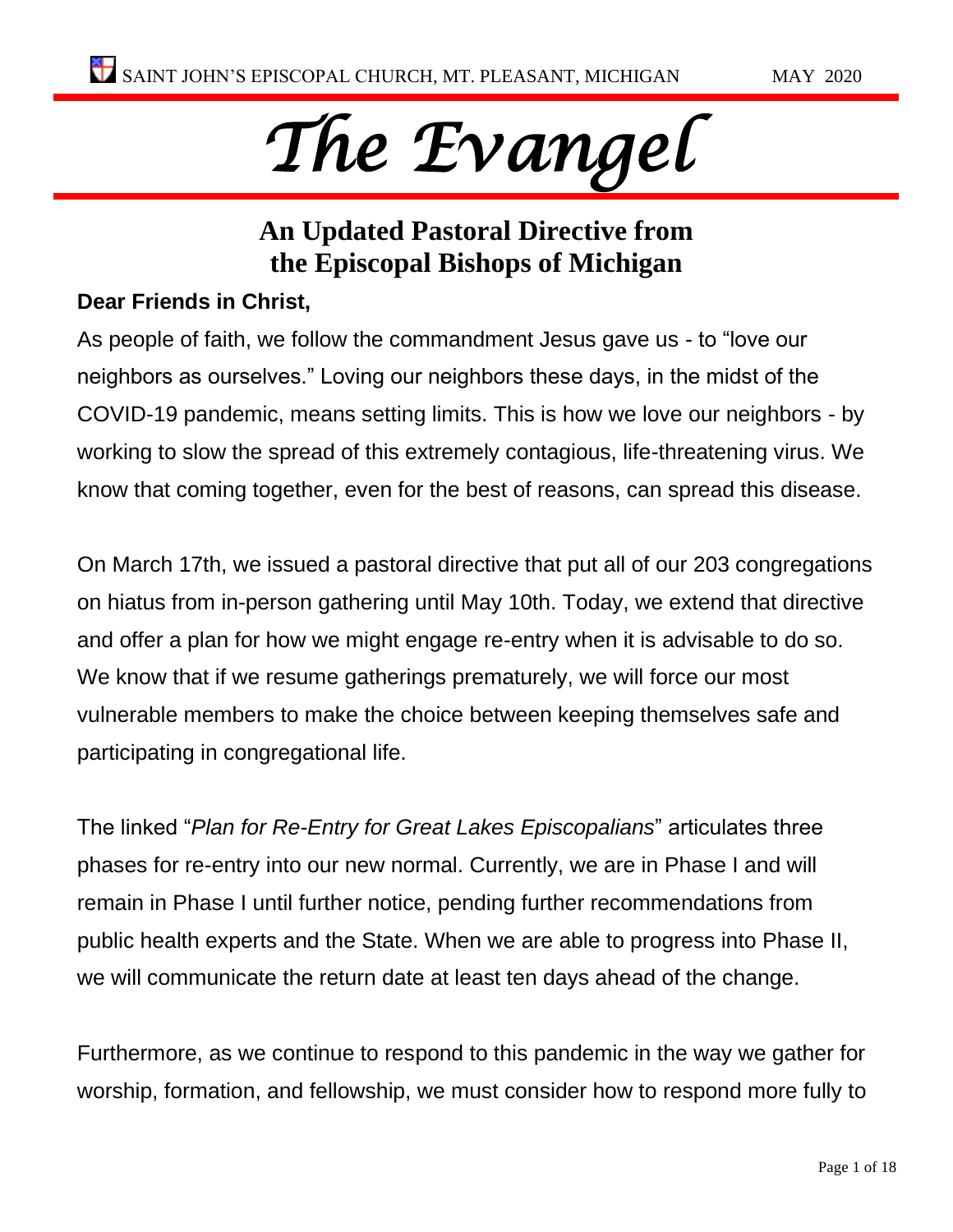# *The Evangel*

### **An Updated Pastoral Directive from the Episcopal Bishops of Michigan**

#### **Dear Friends in Christ,**

As people of faith, we follow the commandment Jesus gave us - to "love our neighbors as ourselves." Loving our neighbors these days, in the midst of the COVID-19 pandemic, means setting limits. This is how we love our neighbors - by working to slow the spread of this extremely contagious, life-threatening virus. We know that coming together, even for the best of reasons, can spread this disease.

On March 17th, we issued a pastoral directive that put all of our 203 congregations on hiatus from in-person gathering until May 10th. Today, we extend that directive and offer a plan for how we might engage re-entry when it is advisable to do so. We know that if we resume gatherings prematurely, we will force our most vulnerable members to make the choice between keeping themselves safe and participating in congregational life.

The linked "*Plan for Re-Entry for Great Lakes Episcopalians*" articulates three phases for re-entry into our new normal. Currently, we are in Phase I and will remain in Phase I until further notice, pending further recommendations from public health experts and the State. When we are able to progress into Phase II, we will communicate the return date at least ten days ahead of the change.

Furthermore, as we continue to respond to this pandemic in the way we gather for worship, formation, and fellowship, we must consider how to respond more fully to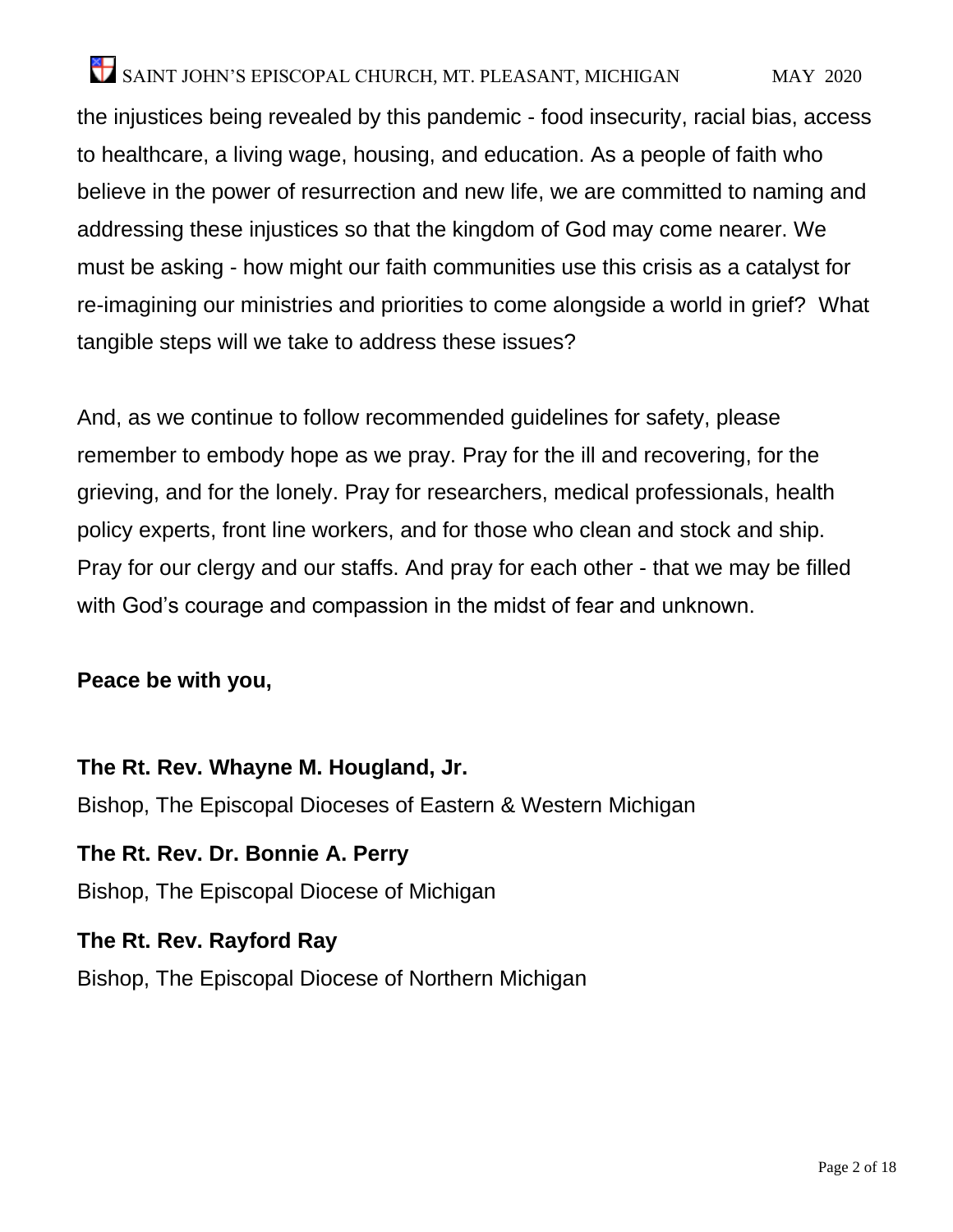the injustices being revealed by this pandemic - food insecurity, racial bias, access to healthcare, a living wage, housing, and education. As a people of faith who believe in the power of resurrection and new life, we are committed to naming and addressing these injustices so that the kingdom of God may come nearer. We must be asking - how might our faith communities use this crisis as a catalyst for re-imagining our ministries and priorities to come alongside a world in grief? What tangible steps will we take to address these issues?

And, as we continue to follow recommended guidelines for safety, please remember to embody hope as we pray. Pray for the ill and recovering, for the grieving, and for the lonely. Pray for researchers, medical professionals, health policy experts, front line workers, and for those who clean and stock and ship. Pray for our clergy and our staffs. And pray for each other - that we may be filled with God's courage and compassion in the midst of fear and unknown.

#### **Peace be with you,**

**The Rt. Rev. Whayne M. Hougland, Jr.** Bishop, The Episcopal Dioceses of Eastern & Western Michigan

**The Rt. Rev. Dr. Bonnie A. Perry** Bishop, The Episcopal Diocese of Michigan

**The Rt. Rev. Rayford Ray** Bishop, The Episcopal Diocese of Northern Michigan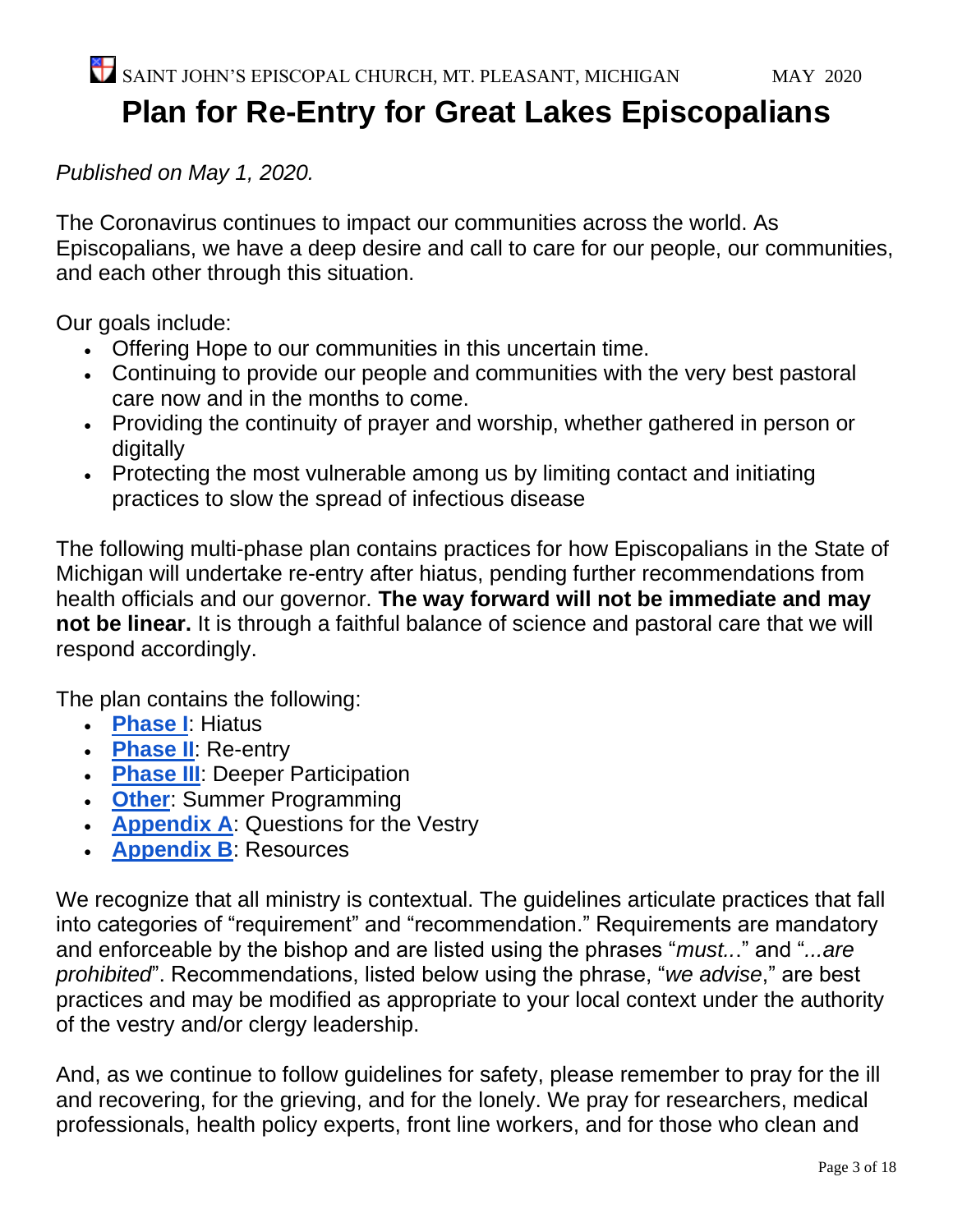## **Plan for Re-Entry for Great Lakes Episcopalians**

*Published on May 1, 2020.*

The Coronavirus continues to impact our communities across the world. As Episcopalians, we have a deep desire and call to care for our people, our communities, and each other through this situation.

Our goals include:

- Offering Hope to our communities in this uncertain time.
- Continuing to provide our people and communities with the very best pastoral care now and in the months to come.
- Providing the continuity of prayer and worship, whether gathered in person or digitally
- Protecting the most vulnerable among us by limiting contact and initiating practices to slow the spread of infectious disease

The following multi-phase plan contains practices for how Episcopalians in the State of Michigan will undertake re-entry after hiatus, pending further recommendations from health officials and our governor. **The way forward will not be immediate and may not be linear.** It is through a faithful balance of science and pastoral care that we will respond accordingly.

The plan contains the following:

- **[Phase I](https://docs.google.com/document/d/1X4P2OHjQX2fDT4FrEuMGdrCmztmuZbCichTqcni5lrk/edit#bookmark=kix.d9efbhrvykli)**: Hiatus
- **[Phase II](https://docs.google.com/document/d/1X4P2OHjQX2fDT4FrEuMGdrCmztmuZbCichTqcni5lrk/edit#bookmark=kix.dt6lbxrsy2s3)**: Re-entry
- **[Phase III](https://docs.google.com/document/d/1X4P2OHjQX2fDT4FrEuMGdrCmztmuZbCichTqcni5lrk/edit#bookmark=kix.osvrdhuwu8e1)**: Deeper Participation
- **[Other](https://docs.google.com/document/d/1X4P2OHjQX2fDT4FrEuMGdrCmztmuZbCichTqcni5lrk/edit#bookmark=kix.qyus7cunwphe)**: Summer Programming
- **[Appendix A](https://docs.google.com/document/d/1X4P2OHjQX2fDT4FrEuMGdrCmztmuZbCichTqcni5lrk/edit#bookmark=kix.6ii2mss8zjoe)**: Questions for the Vestry
- **[Appendix B](https://docs.google.com/document/d/1X4P2OHjQX2fDT4FrEuMGdrCmztmuZbCichTqcni5lrk/edit#bookmark=kix.wmtfam516t54)**: Resources

We recognize that all ministry is contextual. The guidelines articulate practices that fall into categories of "requirement" and "recommendation." Requirements are mandatory and enforceable by the bishop and are listed using the phrases "*must..*." and "*...are prohibited*". Recommendations, listed below using the phrase, "*we advise*," are best practices and may be modified as appropriate to your local context under the authority of the vestry and/or clergy leadership.

And, as we continue to follow guidelines for safety, please remember to pray for the ill and recovering, for the grieving, and for the lonely. We pray for researchers, medical professionals, health policy experts, front line workers, and for those who clean and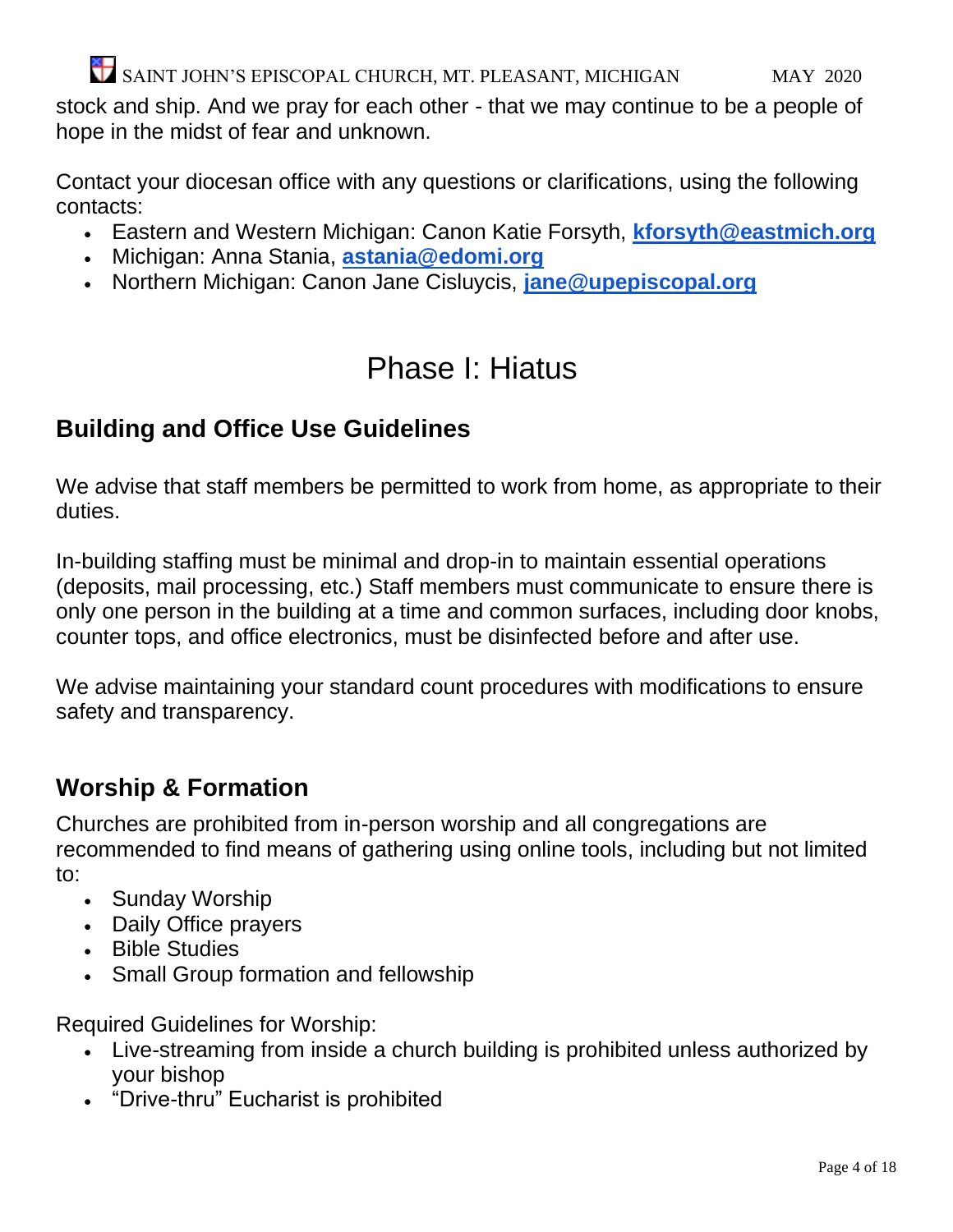stock and ship. And we pray for each other - that we may continue to be a people of hope in the midst of fear and unknown.

Contact your diocesan office with any questions or clarifications, using the following contacts:

- Eastern and Western Michigan: Canon Katie Forsyth, **[kforsyth@eastmich.org](mailto:kforsyth@eastmich.org)**
- Michigan: Anna Stania, **[astania@edomi.org](mailto:astania@edomi.org)**
- Northern Michigan: Canon Jane Cisluycis, **[jane@upepiscopal.org](mailto:jane@upepiscopal.org)**

### Phase I: Hiatus

### **Building and Office Use Guidelines**

We advise that staff members be permitted to work from home, as appropriate to their duties.

In-building staffing must be minimal and drop-in to maintain essential operations (deposits, mail processing, etc.) Staff members must communicate to ensure there is only one person in the building at a time and common surfaces, including door knobs, counter tops, and office electronics, must be disinfected before and after use.

We advise maintaining your standard count procedures with modifications to ensure safety and transparency.

### **Worship & Formation**

Churches are prohibited from in-person worship and all congregations are recommended to find means of gathering using online tools, including but not limited to:

- Sunday Worship
- Daily Office prayers
- Bible Studies
- Small Group formation and fellowship

Required Guidelines for Worship:

- Live-streaming from inside a church building is prohibited unless authorized by your bishop
- "Drive-thru" Eucharist is prohibited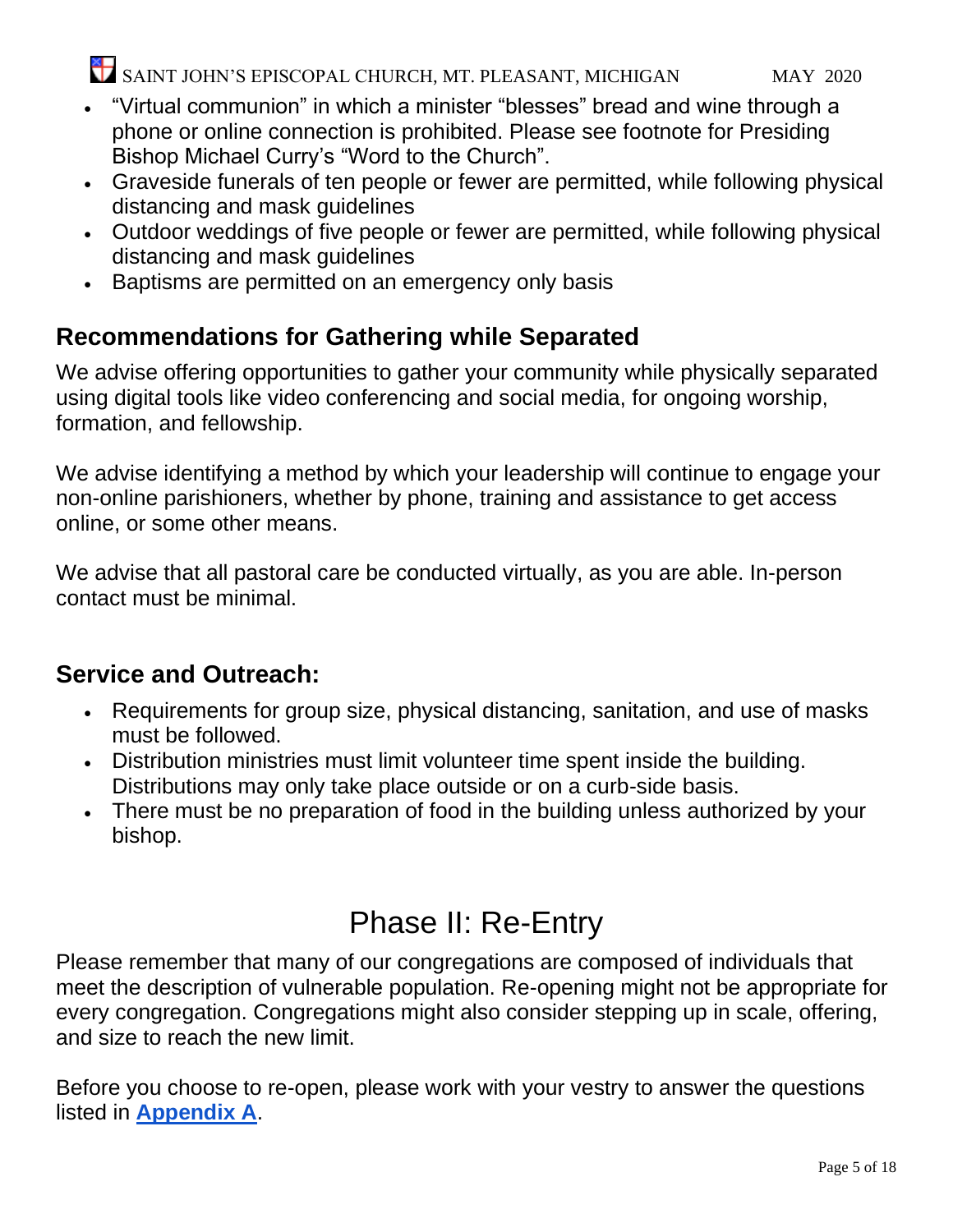- "Virtual communion" in which a minister "blesses" bread and wine through a phone or online connection is prohibited. Please see footnote for Presiding Bishop Michael Curry's "Word to the Church".
- Graveside funerals of ten people or fewer are permitted, while following physical distancing and mask guidelines
- Outdoor weddings of five people or fewer are permitted, while following physical distancing and mask guidelines
- Baptisms are permitted on an emergency only basis

### **Recommendations for Gathering while Separated**

We advise offering opportunities to gather your community while physically separated using digital tools like video conferencing and social media, for ongoing worship, formation, and fellowship.

We advise identifying a method by which your leadership will continue to engage your non-online parishioners, whether by phone, training and assistance to get access online, or some other means.

We advise that all pastoral care be conducted virtually, as you are able. In-person contact must be minimal.

### **Service and Outreach:**

- Requirements for group size, physical distancing, sanitation, and use of masks must be followed.
- Distribution ministries must limit volunteer time spent inside the building. Distributions may only take place outside or on a curb-side basis.
- There must be no preparation of food in the building unless authorized by your bishop.

# Phase II: Re-Entry

Please remember that many of our congregations are composed of individuals that meet the description of vulnerable population. Re-opening might not be appropriate for every congregation. Congregations might also consider stepping up in scale, offering, and size to reach the new limit.

Before you choose to re-open, please work with your vestry to answer the questions listed in **[Appendix A](https://docs.google.com/document/d/1X4P2OHjQX2fDT4FrEuMGdrCmztmuZbCichTqcni5lrk/edit#bookmark=kix.6ii2mss8zjoe)**.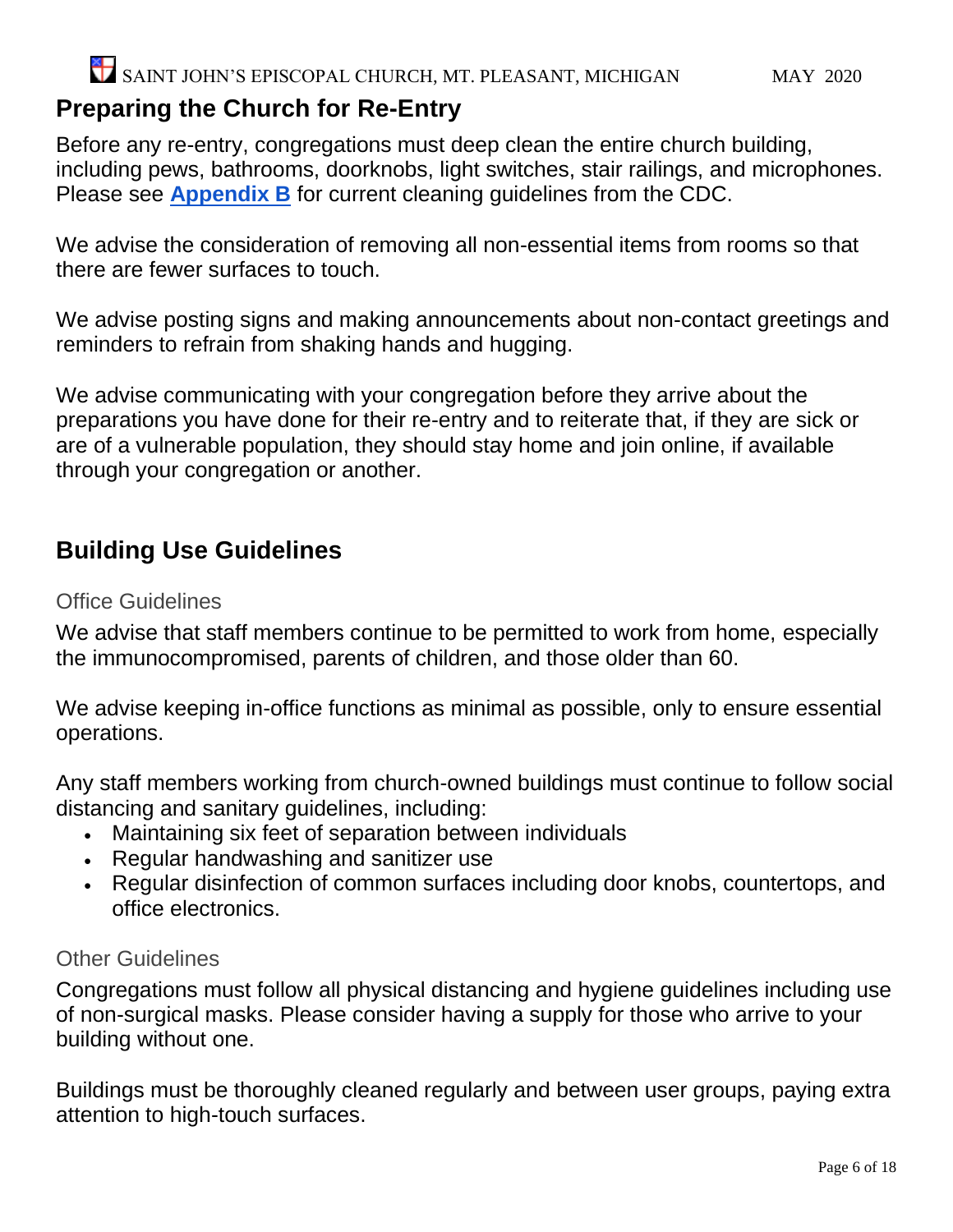### **Preparing the Church for Re-Entry**

Before any re-entry, congregations must deep clean the entire church building, including pews, bathrooms, doorknobs, light switches, stair railings, and microphones. Please see **[Appendix B](https://docs.google.com/document/d/1X4P2OHjQX2fDT4FrEuMGdrCmztmuZbCichTqcni5lrk/edit#bookmark=kix.wmtfam516t54)** for current cleaning guidelines from the CDC.

We advise the consideration of removing all non-essential items from rooms so that there are fewer surfaces to touch.

We advise posting signs and making announcements about non-contact greetings and reminders to refrain from shaking hands and hugging.

We advise communicating with your congregation before they arrive about the preparations you have done for their re-entry and to reiterate that, if they are sick or are of a vulnerable population, they should stay home and join online, if available through your congregation or another.

#### **Building Use Guidelines**

#### Office Guidelines

We advise that staff members continue to be permitted to work from home, especially the immunocompromised, parents of children, and those older than 60.

We advise keeping in-office functions as minimal as possible, only to ensure essential operations.

Any staff members working from church-owned buildings must continue to follow social distancing and sanitary guidelines, including:

- Maintaining six feet of separation between individuals
- Regular handwashing and sanitizer use
- Regular disinfection of common surfaces including door knobs, countertops, and office electronics.

#### Other Guidelines

Congregations must follow all physical distancing and hygiene guidelines including use of non-surgical masks. Please consider having a supply for those who arrive to your building without one.

Buildings must be thoroughly cleaned regularly and between user groups, paying extra attention to high-touch surfaces.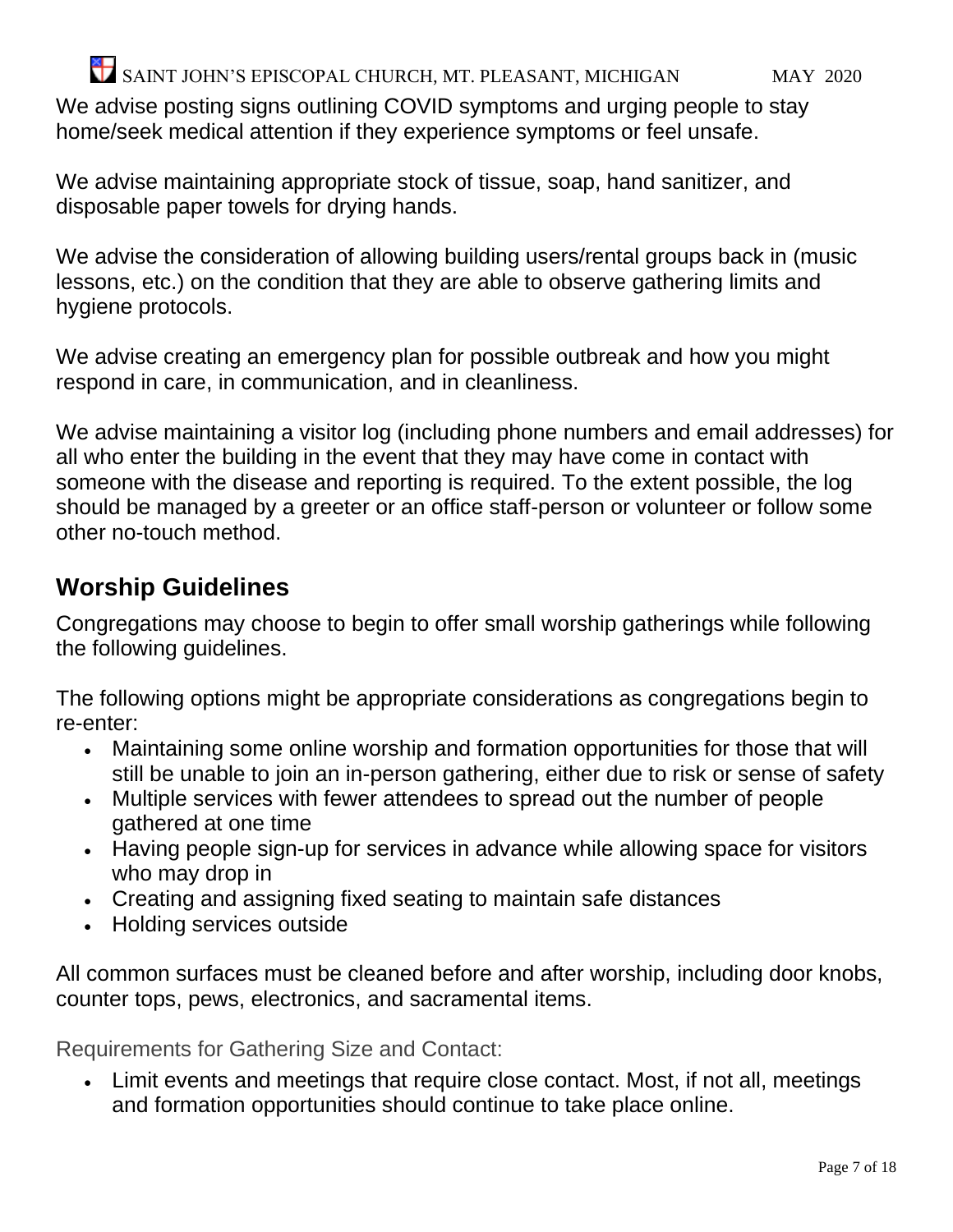We advise posting signs outlining COVID symptoms and urging people to stay home/seek medical attention if they experience symptoms or feel unsafe.

We advise maintaining appropriate stock of tissue, soap, hand sanitizer, and disposable paper towels for drying hands.

We advise the consideration of allowing building users/rental groups back in (music lessons, etc.) on the condition that they are able to observe gathering limits and hygiene protocols.

We advise creating an emergency plan for possible outbreak and how you might respond in care, in communication, and in cleanliness.

We advise maintaining a visitor log (including phone numbers and email addresses) for all who enter the building in the event that they may have come in contact with someone with the disease and reporting is required. To the extent possible, the log should be managed by a greeter or an office staff-person or volunteer or follow some other no-touch method.

#### **Worship Guidelines**

Congregations may choose to begin to offer small worship gatherings while following the following guidelines.

The following options might be appropriate considerations as congregations begin to re-enter:

- Maintaining some online worship and formation opportunities for those that will still be unable to join an in-person gathering, either due to risk or sense of safety
- Multiple services with fewer attendees to spread out the number of people gathered at one time
- Having people sign-up for services in advance while allowing space for visitors who may drop in
- Creating and assigning fixed seating to maintain safe distances
- Holding services outside

All common surfaces must be cleaned before and after worship, including door knobs, counter tops, pews, electronics, and sacramental items.

Requirements for Gathering Size and Contact:

• Limit events and meetings that require close contact. Most, if not all, meetings and formation opportunities should continue to take place online.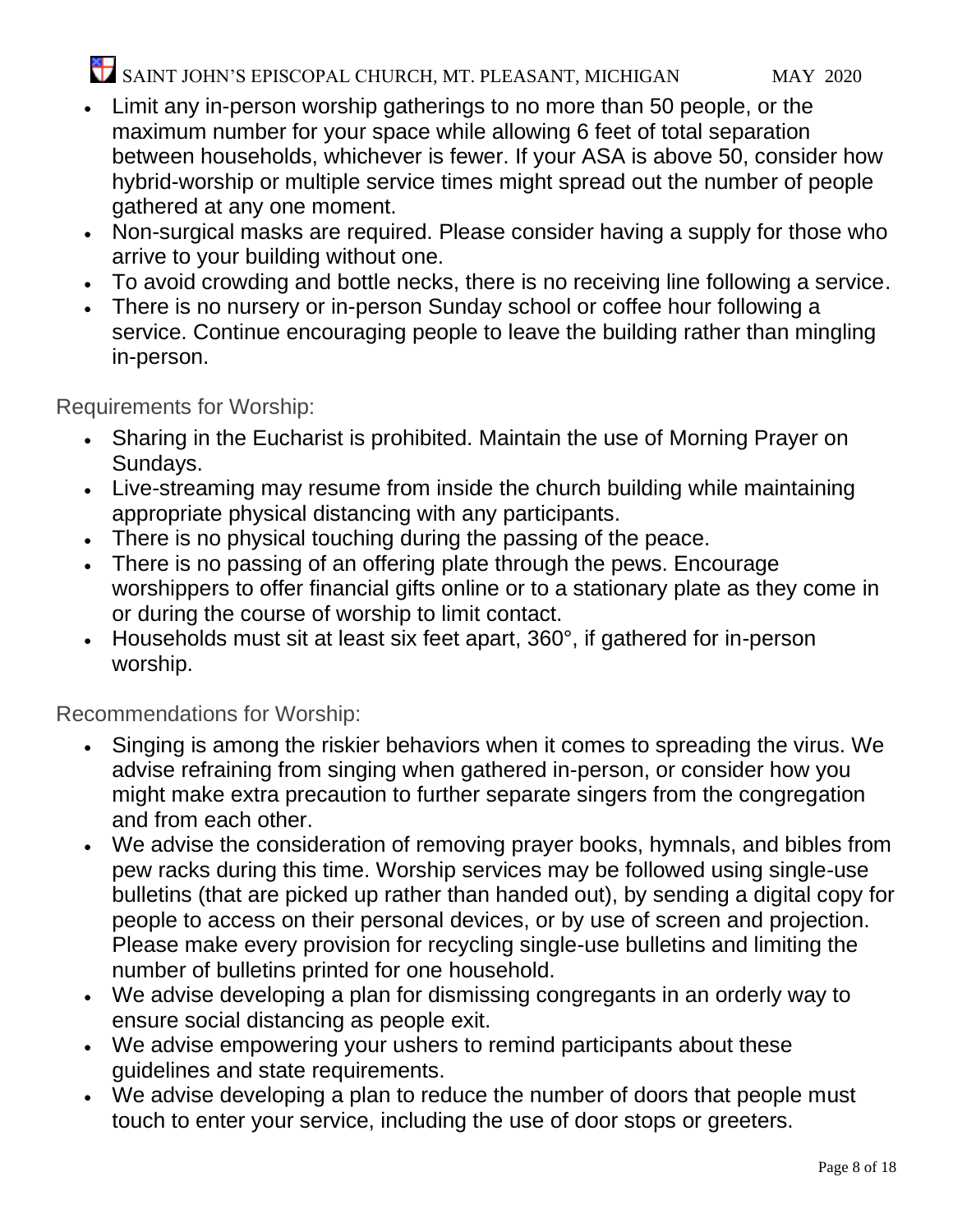- Limit any in-person worship gatherings to no more than 50 people, or the maximum number for your space while allowing 6 feet of total separation between households, whichever is fewer. If your ASA is above 50, consider how hybrid-worship or multiple service times might spread out the number of people gathered at any one moment.
- Non-surgical masks are required. Please consider having a supply for those who arrive to your building without one.
- To avoid crowding and bottle necks, there is no receiving line following a service.
- There is no nursery or in-person Sunday school or coffee hour following a service. Continue encouraging people to leave the building rather than mingling in-person.

Requirements for Worship:

- Sharing in the Eucharist is prohibited. Maintain the use of Morning Prayer on Sundays.
- Live-streaming may resume from inside the church building while maintaining appropriate physical distancing with any participants.
- There is no physical touching during the passing of the peace.
- There is no passing of an offering plate through the pews. Encourage worshippers to offer financial gifts online or to a stationary plate as they come in or during the course of worship to limit contact.
- Households must sit at least six feet apart, 360°, if gathered for in-person worship.

Recommendations for Worship:

- Singing is among the riskier behaviors when it comes to spreading the virus. We advise refraining from singing when gathered in-person, or consider how you might make extra precaution to further separate singers from the congregation and from each other.
- We advise the consideration of removing prayer books, hymnals, and bibles from pew racks during this time. Worship services may be followed using single-use bulletins (that are picked up rather than handed out), by sending a digital copy for people to access on their personal devices, or by use of screen and projection. Please make every provision for recycling single-use bulletins and limiting the number of bulletins printed for one household.
- We advise developing a plan for dismissing congregants in an orderly way to ensure social distancing as people exit.
- We advise empowering your ushers to remind participants about these guidelines and state requirements.
- We advise developing a plan to reduce the number of doors that people must touch to enter your service, including the use of door stops or greeters.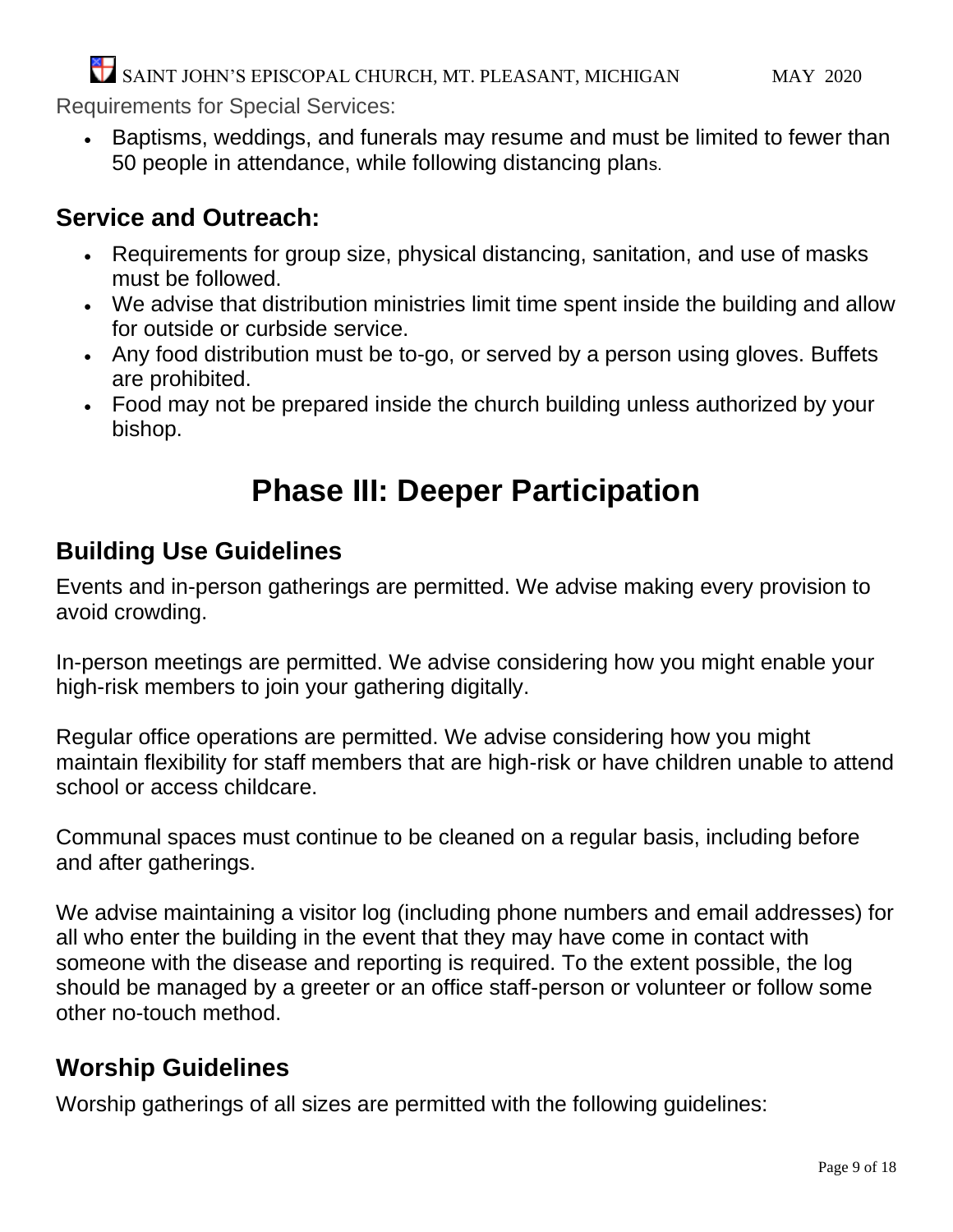Requirements for Special Services:

• Baptisms, weddings, and funerals may resume and must be limited to fewer than 50 people in attendance, while following distancing plans.

### **Service and Outreach:**

- Requirements for group size, physical distancing, sanitation, and use of masks must be followed.
- We advise that distribution ministries limit time spent inside the building and allow for outside or curbside service.
- Any food distribution must be to-go, or served by a person using gloves. Buffets are prohibited.
- Food may not be prepared inside the church building unless authorized by your bishop.

## **Phase III: Deeper Participation**

### **Building Use Guidelines**

Events and in-person gatherings are permitted. We advise making every provision to avoid crowding.

In-person meetings are permitted. We advise considering how you might enable your high-risk members to join your gathering digitally.

Regular office operations are permitted. We advise considering how you might maintain flexibility for staff members that are high-risk or have children unable to attend school or access childcare.

Communal spaces must continue to be cleaned on a regular basis, including before and after gatherings.

We advise maintaining a visitor log (including phone numbers and email addresses) for all who enter the building in the event that they may have come in contact with someone with the disease and reporting is required. To the extent possible, the log should be managed by a greeter or an office staff-person or volunteer or follow some other no-touch method.

### **Worship Guidelines**

Worship gatherings of all sizes are permitted with the following guidelines: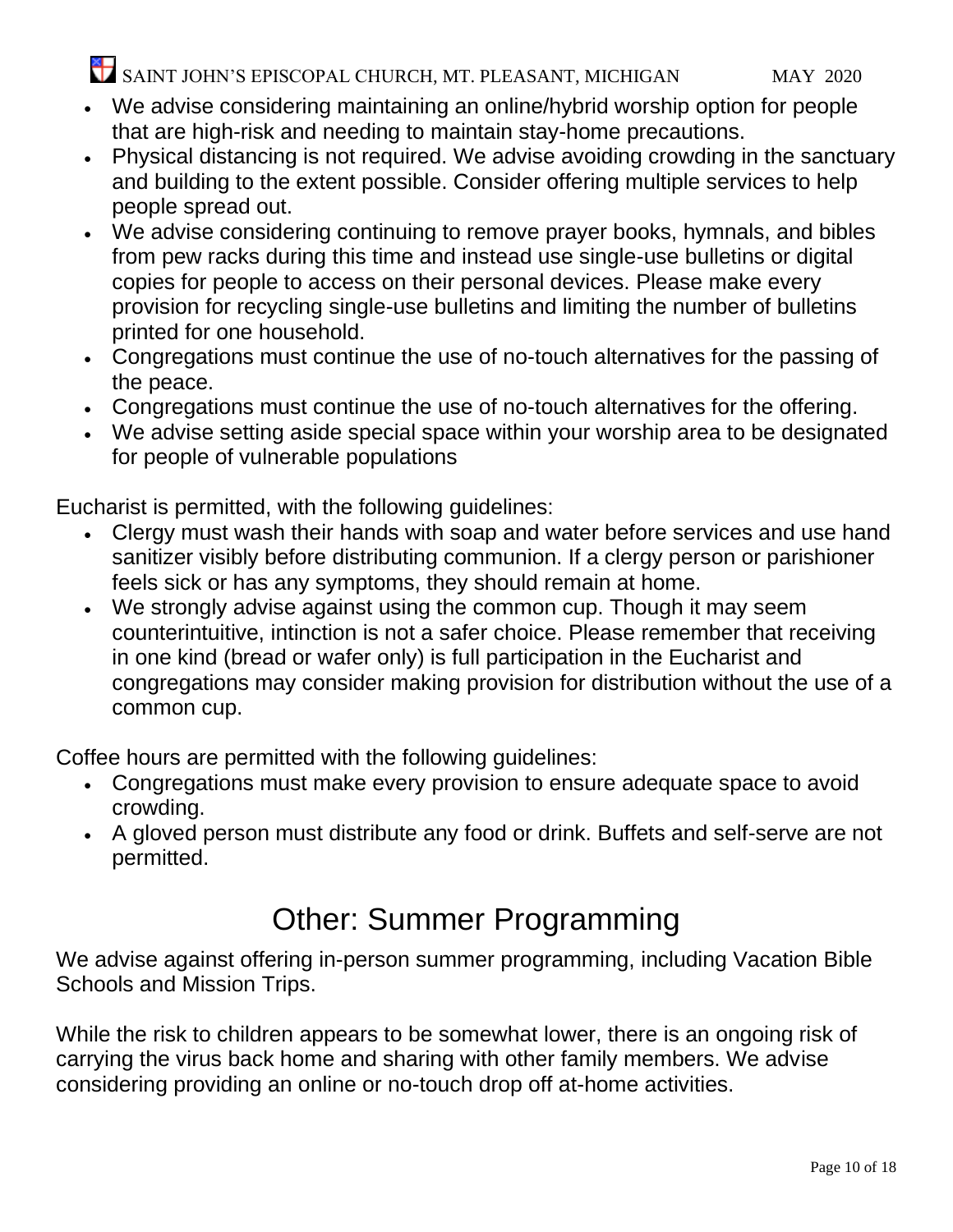- We advise considering maintaining an online/hybrid worship option for people that are high-risk and needing to maintain stay-home precautions.
- Physical distancing is not required. We advise avoiding crowding in the sanctuary and building to the extent possible. Consider offering multiple services to help people spread out.
- We advise considering continuing to remove prayer books, hymnals, and bibles from pew racks during this time and instead use single-use bulletins or digital copies for people to access on their personal devices. Please make every provision for recycling single-use bulletins and limiting the number of bulletins printed for one household.
- Congregations must continue the use of no-touch alternatives for the passing of the peace.
- Congregations must continue the use of no-touch alternatives for the offering.
- We advise setting aside special space within your worship area to be designated for people of vulnerable populations

Eucharist is permitted, with the following guidelines:

- Clergy must wash their hands with soap and water before services and use hand sanitizer visibly before distributing communion. If a clergy person or parishioner feels sick or has any symptoms, they should remain at home.
- We strongly advise against using the common cup. Though it may seem counterintuitive, intinction is not a safer choice. Please remember that receiving in one kind (bread or wafer only) is full participation in the Eucharist and congregations may consider making provision for distribution without the use of a common cup.

Coffee hours are permitted with the following guidelines:

- Congregations must make every provision to ensure adequate space to avoid crowding.
- A gloved person must distribute any food or drink. Buffets and self-serve are not permitted.

### Other: Summer Programming

We advise against offering in-person summer programming, including Vacation Bible Schools and Mission Trips.

While the risk to children appears to be somewhat lower, there is an ongoing risk of carrying the virus back home and sharing with other family members. We advise considering providing an online or no-touch drop off at-home activities.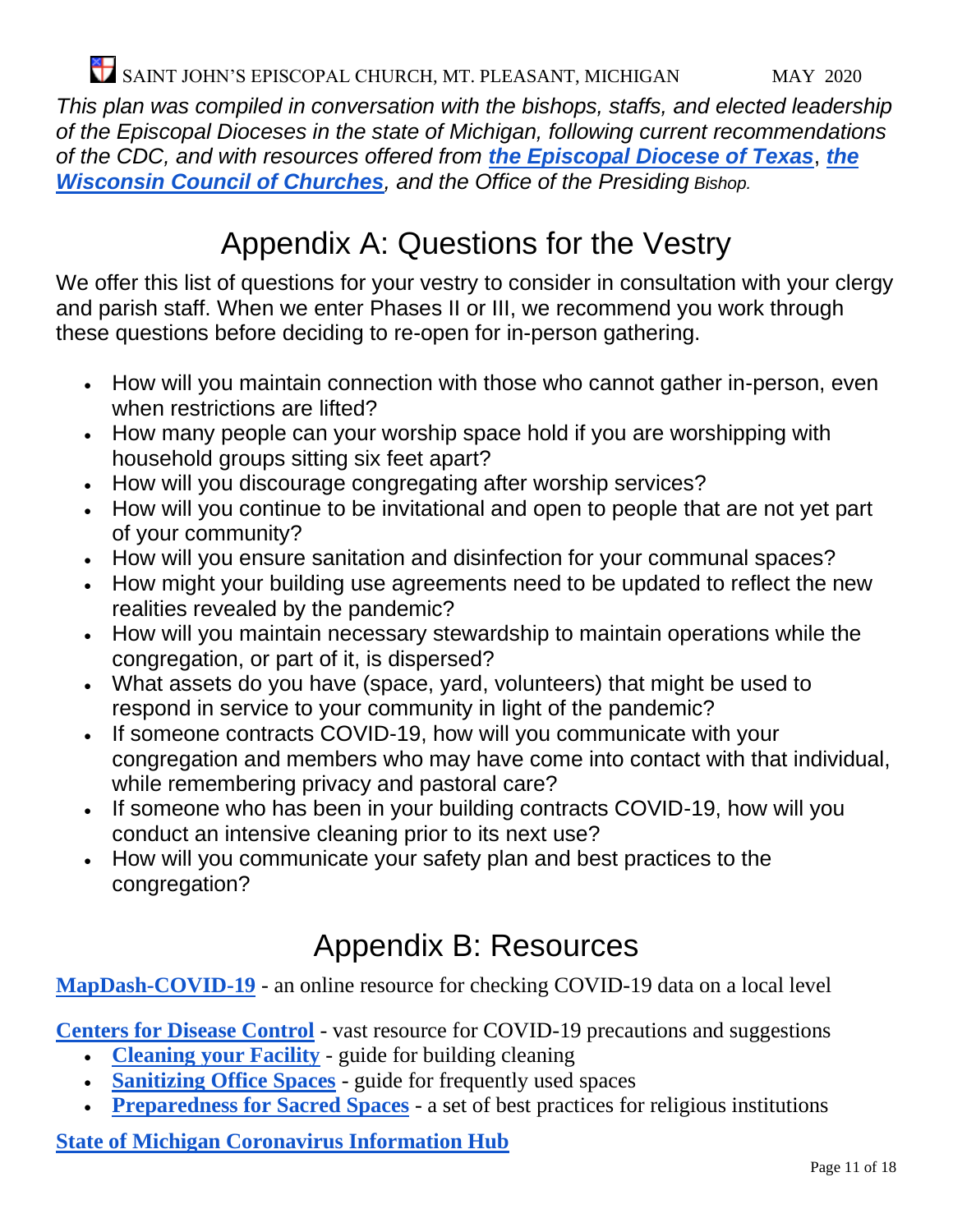*This plan was compiled in conversation with the bishops, staffs, and elected leadership of the Episcopal Dioceses in the state of Michigan, following current recommendations of the CDC, and with resources offered from [the Episcopal Diocese of Texas](https://28f7fb3fa1a43717a53b-cb342165bfeaa4f2927aec8e5d7de41f.ssl.cf2.rackcdn.com/uploaded/p/0e10255231_1587759776_phase-ii-guidelines-for-websitetl1.pdf)*, *[the](https://www.wichurches.org/2020/04/23/returning-to-church/?fbclid=IwAR35WR1MFZeXtiNo6bW9bG4T_Yjad9srhaxC4idb8SHhFXbYWrmJ-rhPyC4)  [Wisconsin Council of Churches](https://www.wichurches.org/2020/04/23/returning-to-church/?fbclid=IwAR35WR1MFZeXtiNo6bW9bG4T_Yjad9srhaxC4idb8SHhFXbYWrmJ-rhPyC4), and the Office of the Presiding Bishop.*

### Appendix A: Questions for the Vestry

We offer this list of questions for your vestry to consider in consultation with your clergy and parish staff. When we enter Phases II or III, we recommend you work through these questions before deciding to re-open for in-person gathering.

- How will you maintain connection with those who cannot gather in-person, even when restrictions are lifted?
- How many people can your worship space hold if you are worshipping with household groups sitting six feet apart?
- How will you discourage congregating after worship services?
- How will you continue to be invitational and open to people that are not yet part of your community?
- How will you ensure sanitation and disinfection for your communal spaces?
- How might your building use agreements need to be updated to reflect the new realities revealed by the pandemic?
- How will you maintain necessary stewardship to maintain operations while the congregation, or part of it, is dispersed?
- What assets do you have (space, yard, volunteers) that might be used to respond in service to your community in light of the pandemic?
- If someone contracts COVID-19, how will you communicate with your congregation and members who may have come into contact with that individual, while remembering privacy and pastoral care?
- If someone who has been in your building contracts COVID-19, how will you conduct an intensive cleaning prior to its next use?
- How will you communicate your safety plan and best practices to the congregation?

### Appendix B: Resources

#### **[MapDash-COVID-19](https://storymaps.arcgis.com/stories/b9a7af8e97174a4e86db59bee72ed7c0)** - an online resource for checking COVID-19 data on a local level

**[Centers for Disease Control](https://www.cdc.gov/coronavirus/2019-nCoV/index.html)** - vast resource for COVID-19 precautions and suggestions

- **[Cleaning your Facility](https://www.cdc.gov/coronavirus/2019-ncov/community/disinfecting-building-facility.html)** guide for building cleaning
- **[Sanitizing Office Spaces](https://www.cdc.gov/coronavirus/2019-ncov/community/organizations/cleaning-disinfection.html)** guide for frequently used spaces
- **[Preparedness for Sacred Spaces](https://www.cdc.gov/coronavirus/2019-ncov/community/organizations/guidance-community-faith-organizations.html)** a set of best practices for religious institutions

**[State of Michigan Coronavirus Information Hub](https://www.michigan.gov/coronavirus/)**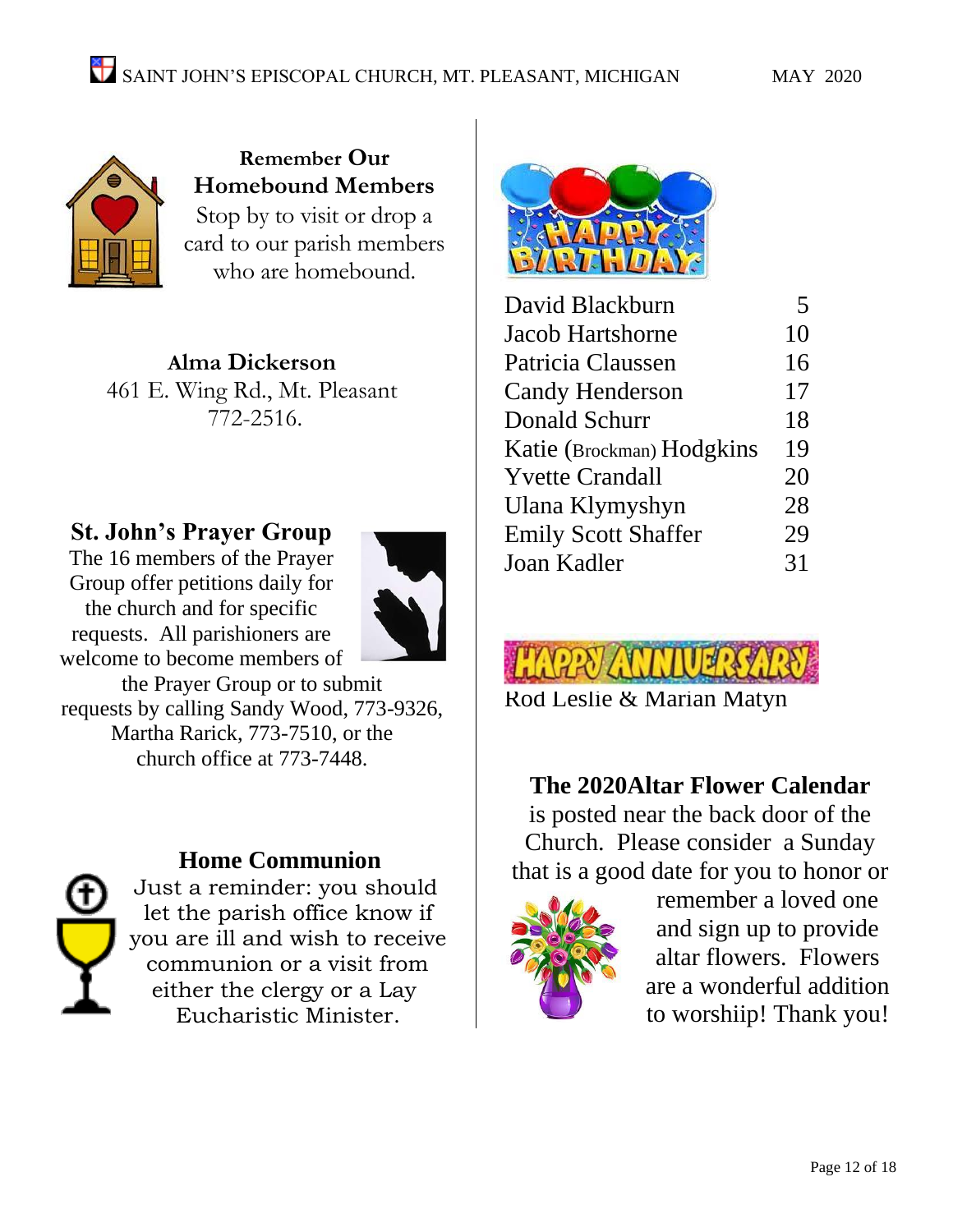

**Remember Our Homebound Members** Stop by to visit or drop a card to our parish members who are homebound.

**Alma Dickerson** 461 E. Wing Rd., Mt. Pleasant 772-2516.

#### **St. John's Prayer Group**

The 16 members of the Prayer Group offer petitions daily for the church and for specific requests. All parishioners are welcome to become members of



the Prayer Group or to submit requests by calling Sandy Wood, 773-9326, Martha Rarick, 773-7510, or the church office at 773-7448.



#### **Home Communion**

Just a reminder: you should let the parish office know if you are ill and wish to receive communion or a visit from either the clergy or a Lay Eucharistic Minister.



| David Blackburn            | 5  |
|----------------------------|----|
| <b>Jacob Hartshorne</b>    | 10 |
| Patricia Claussen          | 16 |
| <b>Candy Henderson</b>     | 17 |
| Donald Schurr              | 18 |
| Katie (Brockman) Hodgkins  | 19 |
| <b>Yvette Crandall</b>     | 20 |
| Ulana Klymyshyn            | 28 |
| <b>Emily Scott Shaffer</b> | 29 |
| Joan Kadler                | 31 |
|                            |    |



[Rod Leslie & Marian Matyn](http://www.google.com/imgres?imgurl=http://www.partybarn.co.nz/images/408011.jpg&imgrefurl=http://www.partybarn.co.nz/index.php%3FcPath%3D21_107%26osCsid%3D67cc0f908b1c457f793369860c6d8b0e&usg=__FzZXCJZ8WW3-rbAdcm19oh7f52U=&h=150&w=300&sz=7&hl=en&start=5&zoom=1&tbnid=59nlwOth2EYwPM:&tbnh=58&tbnw=116&ei=CkXATYLMFIrL0QHB49mKBQ&prev=/search%3Fq%3DHappy%2BAnniversary%2Bbanner%26hl%3Den%26sa%3DG%26biw%3D767%26bih%3D387%26gbv%3D2%26site%3Dsearch%26tbm%3Disch&itbs=1)

#### **The 2020Altar Flower Calendar**

is posted near the back door of the Church. Please consider a Sunday that is a good date for you to honor or



remember a loved one and sign up to provide altar flowers. Flowers are a wonderful addition to worshiip! Thank you!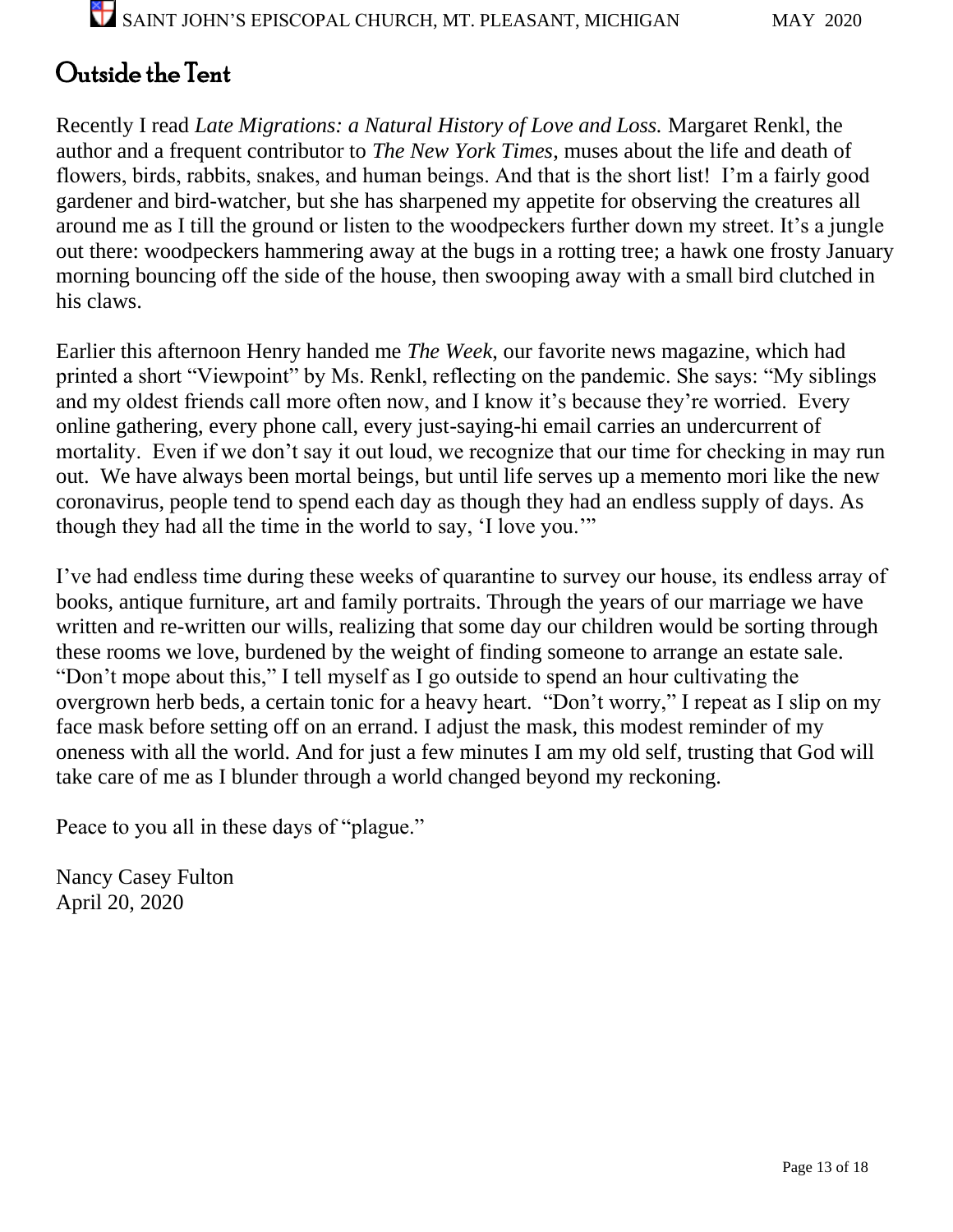### Outside the Tent

Recently I read *Late Migrations: a Natural History of Love and Loss.* Margaret Renkl, the author and a frequent contributor to *The New York Times*, muses about the life and death of flowers, birds, rabbits, snakes, and human beings. And that is the short list! I'm a fairly good gardener and bird-watcher, but she has sharpened my appetite for observing the creatures all around me as I till the ground or listen to the woodpeckers further down my street. It's a jungle out there: woodpeckers hammering away at the bugs in a rotting tree; a hawk one frosty January morning bouncing off the side of the house, then swooping away with a small bird clutched in his claws.

Earlier this afternoon Henry handed me *The Week*, our favorite news magazine, which had printed a short "Viewpoint" by Ms. Renkl, reflecting on the pandemic. She says: "My siblings and my oldest friends call more often now, and I know it's because they're worried. Every online gathering, every phone call, every just-saying-hi email carries an undercurrent of mortality. Even if we don't say it out loud, we recognize that our time for checking in may run out. We have always been mortal beings, but until life serves up a memento mori like the new coronavirus, people tend to spend each day as though they had an endless supply of days. As though they had all the time in the world to say, 'I love you.'"

I've had endless time during these weeks of quarantine to survey our house, its endless array of books, antique furniture, art and family portraits. Through the years of our marriage we have written and re-written our wills, realizing that some day our children would be sorting through these rooms we love, burdened by the weight of finding someone to arrange an estate sale. "Don't mope about this," I tell myself as I go outside to spend an hour cultivating the overgrown herb beds, a certain tonic for a heavy heart. "Don't worry," I repeat as I slip on my face mask before setting off on an errand. I adjust the mask, this modest reminder of my oneness with all the world. And for just a few minutes I am my old self, trusting that God will take care of me as I blunder through a world changed beyond my reckoning.

Peace to you all in these days of "plague."

Nancy Casey Fulton April 20, 2020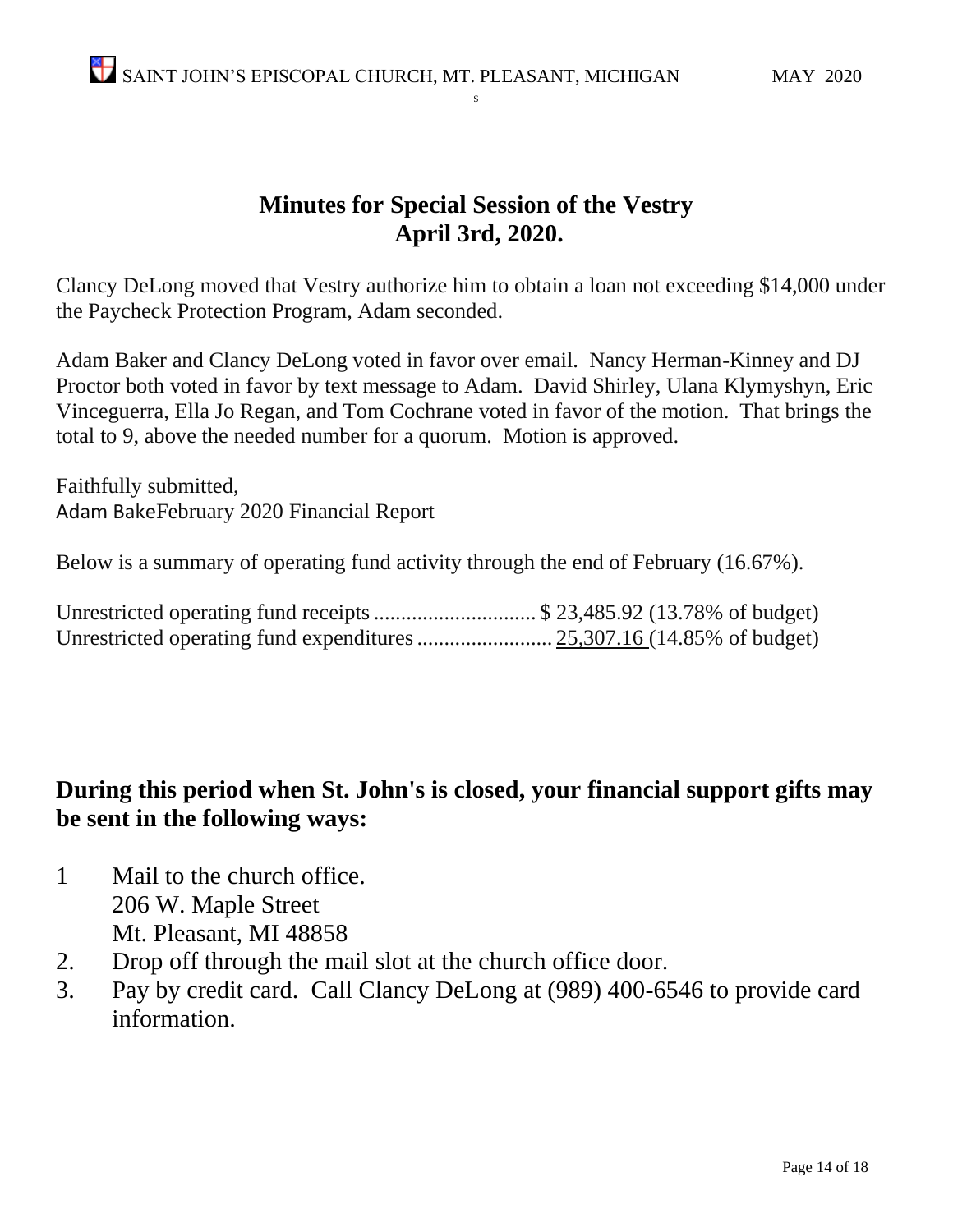#### **Minutes for Special Session of the Vestry April 3rd, 2020.**

S

Clancy DeLong moved that Vestry authorize him to obtain a loan not exceeding \$14,000 under the Paycheck Protection Program, Adam seconded.

Adam Baker and Clancy DeLong voted in favor over email. Nancy Herman-Kinney and DJ Proctor both voted in favor by text message to Adam. David Shirley, Ulana Klymyshyn, Eric Vinceguerra, Ella Jo Regan, and Tom Cochrane voted in favor of the motion. That brings the total to 9, above the needed number for a quorum. Motion is approved.

Faithfully submitted, Adam BakeFebruary 2020 Financial Report

Below is a summary of operating fund activity through the end of February (16.67%).

| Unrestricted operating fund receipts  \$ 23,485.92 (13.78% of budget) |  |  |  |
|-----------------------------------------------------------------------|--|--|--|
|                                                                       |  |  |  |

#### **During this period when St. John's is closed, your financial support gifts may be sent in the following ways:**

- 1 Mail to the church office. 206 W. Maple Street Mt. Pleasant, MI 48858
- 2. Drop off through the mail slot at the church office door.
- 3. Pay by credit card. Call Clancy DeLong at (989) 400-6546 to provide card information.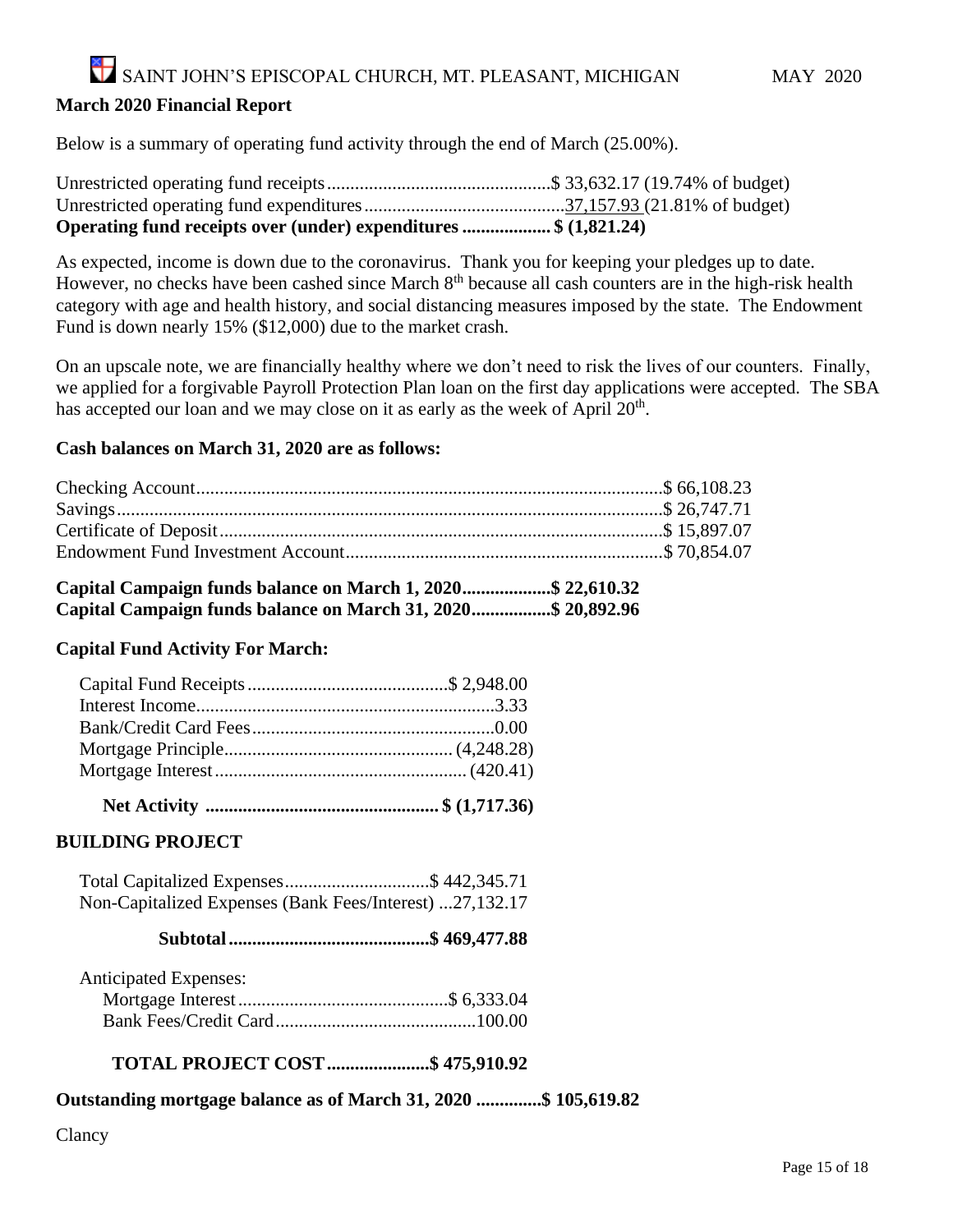#### **March 2020 Financial Report**

Below is a summary of operating fund activity through the end of March (25.00%).

| Operating fund receipts over (under) expenditures \$ (1,821.24) |  |
|-----------------------------------------------------------------|--|

As expected, income is down due to the coronavirus. Thank you for keeping your pledges up to date. However, no checks have been cashed since March 8<sup>th</sup> because all cash counters are in the high-risk health category with age and health history, and social distancing measures imposed by the state. The Endowment Fund is down nearly 15% (\$12,000) due to the market crash.

On an upscale note, we are financially healthy where we don't need to risk the lives of our counters. Finally, we applied for a forgivable Payroll Protection Plan loan on the first day applications were accepted. The SBA has accepted our loan and we may close on it as early as the week of April  $20<sup>th</sup>$ .

#### **Cash balances on March 31, 2020 are as follows:**

#### **Capital Campaign funds balance on March 1, 2020...................\$ 22,610.32 Capital Campaign funds balance on March 31, 2020.................\$ 20,892.96**

#### **Capital Fund Activity For March:**

 **Net Activity .................................................. \$ (1,717.36)**

#### **BUILDING PROJECT**

 Total Capitalized Expenses...............................\$ 442,345.71 Non-Capitalized Expenses (Bank Fees/Interest) ...27,132.17

 **Subtotal...........................................\$ 469,477.88**

Anticipated Expenses:

#### **TOTAL PROJECT COST......................\$ 475,910.92**

#### **Outstanding mortgage balance as of March 31, 2020 ..............\$ 105,619.82**

Clancy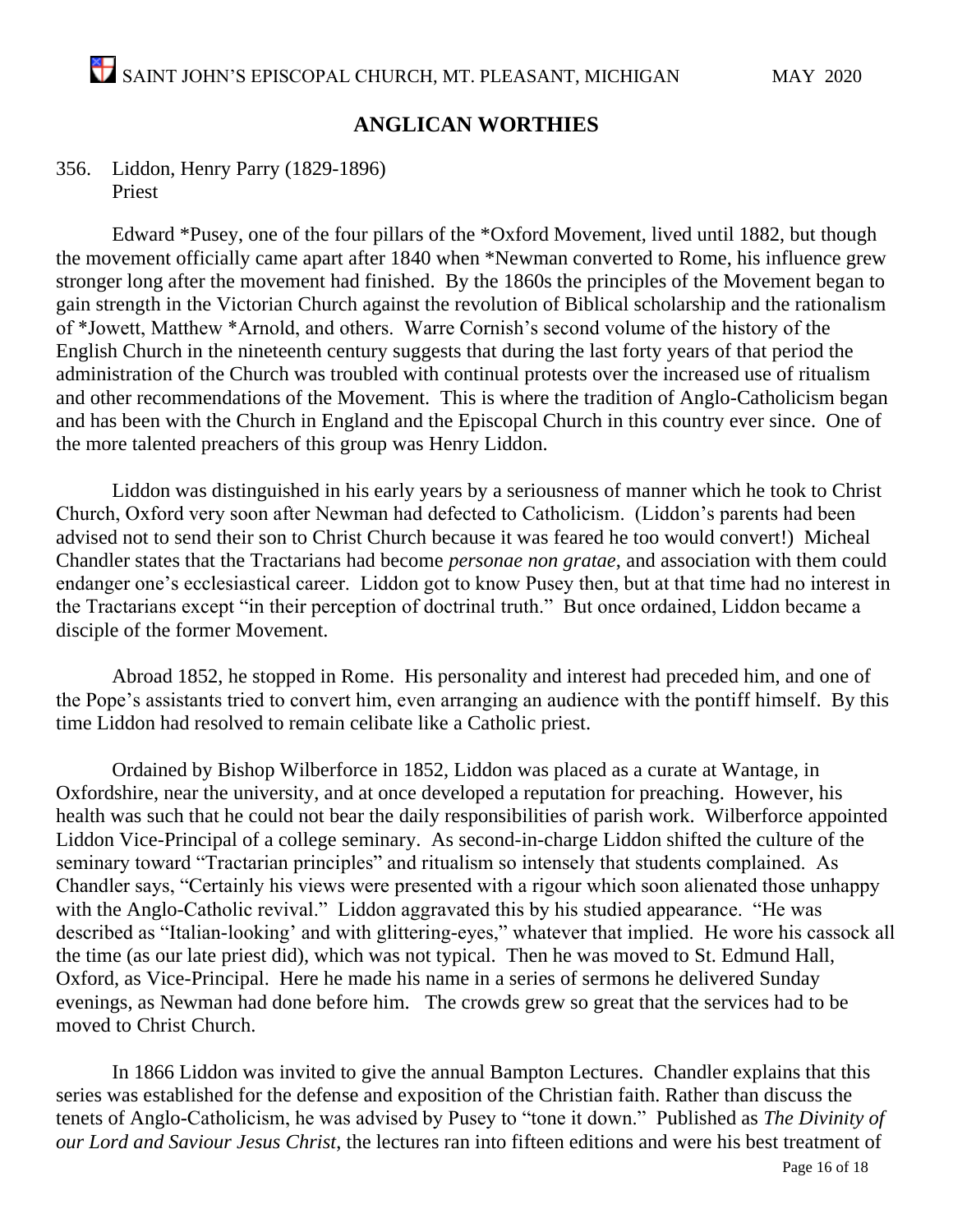#### **ANGLICAN WORTHIES**

#### 356. Liddon, Henry Parry (1829-1896) Priest

Edward \*Pusey, one of the four pillars of the \*Oxford Movement, lived until 1882, but though the movement officially came apart after 1840 when \*Newman converted to Rome, his influence grew stronger long after the movement had finished. By the 1860s the principles of the Movement began to gain strength in the Victorian Church against the revolution of Biblical scholarship and the rationalism of \*Jowett, Matthew \*Arnold, and others. Warre Cornish's second volume of the history of the English Church in the nineteenth century suggests that during the last forty years of that period the administration of the Church was troubled with continual protests over the increased use of ritualism and other recommendations of the Movement. This is where the tradition of Anglo-Catholicism began and has been with the Church in England and the Episcopal Church in this country ever since. One of the more talented preachers of this group was Henry Liddon.

Liddon was distinguished in his early years by a seriousness of manner which he took to Christ Church, Oxford very soon after Newman had defected to Catholicism. (Liddon's parents had been advised not to send their son to Christ Church because it was feared he too would convert!) Micheal Chandler states that the Tractarians had become *personae non gratae*, and association with them could endanger one's ecclesiastical career. Liddon got to know Pusey then, but at that time had no interest in the Tractarians except "in their perception of doctrinal truth." But once ordained, Liddon became a disciple of the former Movement.

Abroad 1852, he stopped in Rome. His personality and interest had preceded him, and one of the Pope's assistants tried to convert him, even arranging an audience with the pontiff himself. By this time Liddon had resolved to remain celibate like a Catholic priest.

Ordained by Bishop Wilberforce in 1852, Liddon was placed as a curate at Wantage, in Oxfordshire, near the university, and at once developed a reputation for preaching. However, his health was such that he could not bear the daily responsibilities of parish work. Wilberforce appointed Liddon Vice-Principal of a college seminary. As second-in-charge Liddon shifted the culture of the seminary toward "Tractarian principles" and ritualism so intensely that students complained. As Chandler says, "Certainly his views were presented with a rigour which soon alienated those unhappy with the Anglo-Catholic revival." Liddon aggravated this by his studied appearance. "He was described as "Italian-looking' and with glittering-eyes," whatever that implied. He wore his cassock all the time (as our late priest did), which was not typical. Then he was moved to St. Edmund Hall, Oxford, as Vice-Principal. Here he made his name in a series of sermons he delivered Sunday evenings, as Newman had done before him. The crowds grew so great that the services had to be moved to Christ Church.

In 1866 Liddon was invited to give the annual Bampton Lectures. Chandler explains that this series was established for the defense and exposition of the Christian faith. Rather than discuss the tenets of Anglo-Catholicism, he was advised by Pusey to "tone it down." Published as *The Divinity of our Lord and Saviour Jesus Christ*, the lectures ran into fifteen editions and were his best treatment of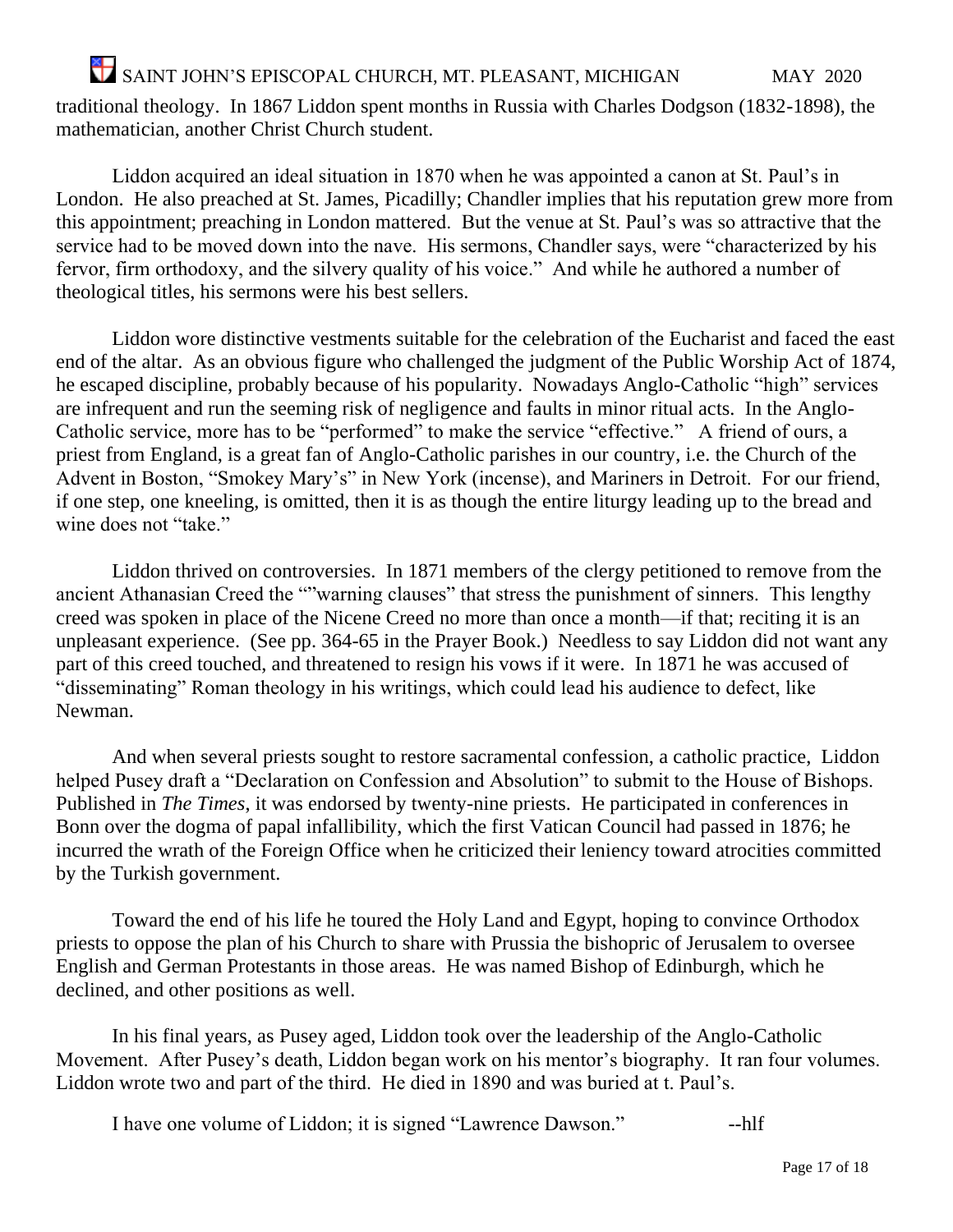SAINT JOHN'S EPISCOPAL CHURCH, MT. PLEASANT, MICHIGAN MAY 2020 traditional theology. In 1867 Liddon spent months in Russia with Charles Dodgson (1832-1898), the mathematician, another Christ Church student.

Liddon acquired an ideal situation in 1870 when he was appointed a canon at St. Paul's in London. He also preached at St. James, Picadilly; Chandler implies that his reputation grew more from this appointment; preaching in London mattered. But the venue at St. Paul's was so attractive that the service had to be moved down into the nave. His sermons, Chandler says, were "characterized by his fervor, firm orthodoxy, and the silvery quality of his voice." And while he authored a number of theological titles, his sermons were his best sellers.

Liddon wore distinctive vestments suitable for the celebration of the Eucharist and faced the east end of the altar. As an obvious figure who challenged the judgment of the Public Worship Act of 1874, he escaped discipline, probably because of his popularity. Nowadays Anglo-Catholic "high" services are infrequent and run the seeming risk of negligence and faults in minor ritual acts. In the Anglo-Catholic service, more has to be "performed" to make the service "effective." A friend of ours, a priest from England, is a great fan of Anglo-Catholic parishes in our country, i.e. the Church of the Advent in Boston, "Smokey Mary's" in New York (incense), and Mariners in Detroit. For our friend, if one step, one kneeling, is omitted, then it is as though the entire liturgy leading up to the bread and wine does not "take."

Liddon thrived on controversies. In 1871 members of the clergy petitioned to remove from the ancient Athanasian Creed the ""warning clauses" that stress the punishment of sinners. This lengthy creed was spoken in place of the Nicene Creed no more than once a month—if that; reciting it is an unpleasant experience. (See pp. 364-65 in the Prayer Book.) Needless to say Liddon did not want any part of this creed touched, and threatened to resign his vows if it were. In 1871 he was accused of "disseminating" Roman theology in his writings, which could lead his audience to defect, like Newman.

And when several priests sought to restore sacramental confession, a catholic practice, Liddon helped Pusey draft a "Declaration on Confession and Absolution" to submit to the House of Bishops. Published in *The Times*, it was endorsed by twenty-nine priests. He participated in conferences in Bonn over the dogma of papal infallibility, which the first Vatican Council had passed in 1876; he incurred the wrath of the Foreign Office when he criticized their leniency toward atrocities committed by the Turkish government.

Toward the end of his life he toured the Holy Land and Egypt, hoping to convince Orthodox priests to oppose the plan of his Church to share with Prussia the bishopric of Jerusalem to oversee English and German Protestants in those areas. He was named Bishop of Edinburgh, which he declined, and other positions as well.

In his final years, as Pusey aged, Liddon took over the leadership of the Anglo-Catholic Movement. After Pusey's death, Liddon began work on his mentor's biography. It ran four volumes. Liddon wrote two and part of the third. He died in 1890 and was buried at t. Paul's.

I have one volume of Liddon; it is signed "Lawrence Dawson." --hlf